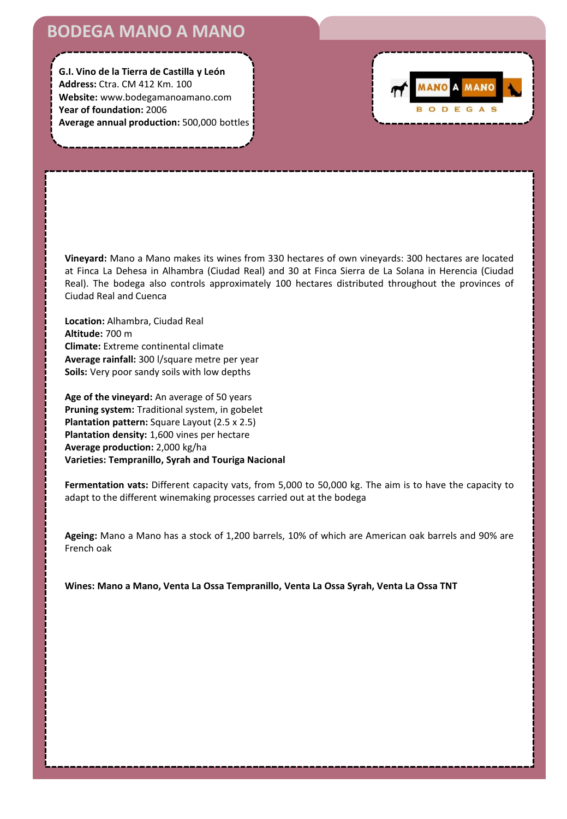## **BODEGA MANO A MANO**

**G.I. Vino de la Tierra de Castilla y León Address:** Ctra. CM 412 Km. 100 **Website:** www.bodegamanoamano.com **Year of foundation:** 2006 **Average annual production:** 500,000 bottles



**Vineyard:** Mano a Mano makes its wines from 330 hectares of own vineyards: 300 hectares are located at Finca La Dehesa in Alhambra (Ciudad Real) and 30 at Finca Sierra de La Solana in Herencia (Ciudad Real). The bodega also controls approximately 100 hectares distributed throughout the provinces of Ciudad Real and Cuenca

**Location:** Alhambra, Ciudad Real **Altitude:** 700 m **Climate:** Extreme continental climate **Average rainfall:** 300 l/square metre per year **Soils:** Very poor sandy soils with low depths

**Age of the vineyard:** An average of 50 years **Pruning system:** Traditional system, in gobelet **Plantation pattern:** Square Layout (2.5 x 2.5) **Plantation density:** 1,600 vines per hectare **Average production:** 2,000 kg/ha **Varieties: Tempranillo, Syrah and Touriga Nacional**

**Fermentation vats:** Different capacity vats, from 5,000 to 50,000 kg. The aim is to have the capacity to adapt to the different winemaking processes carried out at the bodega

**Ageing:** Mano a Mano has a stock of 1,200 barrels, 10% of which are American oak barrels and 90% are French oak

**Wines: Mano a Mano, Venta La Ossa Tempranillo, Venta La Ossa Syrah, Venta La Ossa TNT**